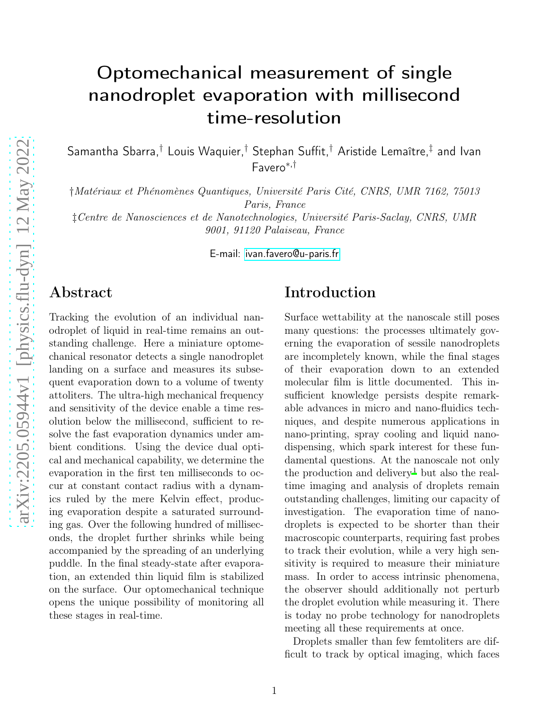# Optomechanical measurement of single nanodroplet evaporation with millisecond time-resolution

Samantha Sbarra,† Louis Waquier,† Stephan Suffit,† Aristide Lemaître,‡ and Ivan Favero<sup>∗</sup>,†

†Matériaux et Phénomènes Quantiques, Université Paris Cité, CNRS, UMR 7162, 75013 Paris, France ‡Centre de Nanosciences et de Nanotechnologies, Université Paris-Saclay, CNRS, UMR

9001, 91120 Palaiseau, France

E-mail:<ivan.favero@u-paris.fr>

### Abstract

Tracking the evolution of an individual nanodroplet of liquid in real-time remains an outstanding challenge. Here a miniature optomechanical resonator detects a single nanodroplet landing on a surface and measures its subsequent evaporation down to a volume of twenty attoliters. The ultra-high mechanical frequency and sensitivity of the device enable a time resolution below the millisecond, sufficient to resolve the fast evaporation dynamics under ambient conditions. Using the device dual optical and mechanical capability, we determine the evaporation in the first ten milliseconds to occur at constant contact radius with a dynamics ruled by the mere Kelvin effect, producing evaporation despite a saturated surrounding gas. Over the following hundred of milliseconds, the droplet further shrinks while being accompanied by the spreading of an underlying puddle. In the final steady-state after evaporation, an extended thin liquid film is stabilized on the surface. Our optomechanical technique opens the unique possibility of monitoring all these stages in real-time.

### Introduction

Surface wettability at the nanoscale still poses many questions: the processes ultimately governing the evaporation of sessile nanodroplets are incompletely known, while the final stages of their evaporation down to an extended molecular film is little documented. This insufficient knowledge persists despite remarkable advances in micro and nano-fluidics techniques, and despite numerous applications in nano-printing, spray cooling and liquid nanodispensing, which spark interest for these fundamental questions. At the nanoscale not only the production and delivery<sup>[1](#page-8-0)</sup> but also the realtime imaging and analysis of droplets remain outstanding challenges, limiting our capacity of investigation. The evaporation time of nanodroplets is expected to be shorter than their macroscopic counterparts, requiring fast probes to track their evolution, while a very high sensitivity is required to measure their miniature mass. In order to access intrinsic phenomena, the observer should additionally not perturb the droplet evolution while measuring it. There is today no probe technology for nanodroplets meeting all these requirements at once.

Droplets smaller than few femtoliters are difficult to track by optical imaging, which faces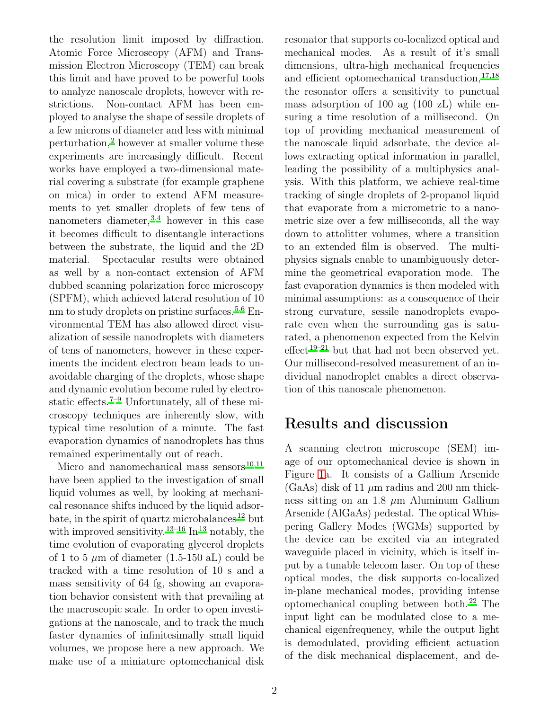the resolution limit imposed by diffraction. Atomic Force Microscopy (AFM) and Transmission Electron Microscopy (TEM) can break this limit and have proved to be powerful tools to analyze nanoscale droplets, however with restrictions. Non-contact AFM has been employed to analyse the shape of sessile droplets of a few microns of diameter and less with minimal perturbation,<sup>[2](#page-8-1)</sup> however at smaller volume these experiments are increasingly difficult. Recent works have employed a two-dimensional material covering a substrate (for example graphene on mica) in order to extend AFM measurements to yet smaller droplets of few tens of nanometers diameter,  $3,4$  $3,4$  however in this case it becomes difficult to disentangle interactions between the substrate, the liquid and the 2D material. Spectacular results were obtained as well by a non-contact extension of AFM dubbed scanning polarization force microscopy (SPFM), which achieved lateral resolution of 10 nm to study droplets on pristine surfaces.<sup>[5](#page-8-4)[,6](#page-8-5)</sup> Environmental TEM has also allowed direct visualization of sessile nanodroplets with diameters of tens of nanometers, however in these experiments the incident electron beam leads to unavoidable charging of the droplets, whose shape and dynamic evolution become ruled by electro-static effects.<sup>[7](#page-8-6)[–9](#page-8-7)</sup> Unfortunately, all of these microscopy techniques are inherently slow, with typical time resolution of a minute. The fast evaporation dynamics of nanodroplets has thus remained experimentally out of reach.

Micro and nanomechanical mass sensors $10,11$  $10,11$ have been applied to the investigation of small liquid volumes as well, by looking at mechanical resonance shifts induced by the liquid adsor-bate, in the spirit of quartz microbalances<sup>[12](#page-8-10)</sup> but with improved sensitivity.<sup>[13](#page-8-11)[–16](#page-9-0)</sup> In<sup>13</sup> notably, the time evolution of evaporating glycerol droplets of 1 to 5  $\mu$ m of diameter (1.5-150 aL) could be tracked with a time resolution of 10 s and a mass sensitivity of 64 fg, showing an evaporation behavior consistent with that prevailing at the macroscopic scale. In order to open investigations at the nanoscale, and to track the much faster dynamics of infinitesimally small liquid volumes, we propose here a new approach. We make use of a miniature optomechanical disk resonator that supports co-localized optical and mechanical modes. As a result of it's small dimensions, ultra-high mechanical frequencies and efficient optomechanical transduction,  $17,18$  $17,18$ the resonator offers a sensitivity to punctual mass adsorption of 100 ag (100 zL) while ensuring a time resolution of a millisecond. On top of providing mechanical measurement of the nanoscale liquid adsorbate, the device allows extracting optical information in parallel, leading the possibility of a multiphysics analysis. With this platform, we achieve real-time tracking of single droplets of 2-propanol liquid that evaporate from a micrometric to a nanometric size over a few milliseconds, all the way down to attolitter volumes, where a transition to an extended film is observed. The multiphysics signals enable to unambiguously determine the geometrical evaporation mode. The fast evaporation dynamics is then modeled with minimal assumptions: as a consequence of their strong curvature, sessile nanodroplets evaporate even when the surrounding gas is saturated, a phenomenon expected from the Kelvin effect<sup>[19](#page-9-3)[–21](#page-9-4)</sup> but that had not been observed yet. Our millisecond-resolved measurement of an individual nanodroplet enables a direct observation of this nanoscale phenomenon.

# Results and discussion

A scanning electron microscope (SEM) image of our optomechanical device is shown in Figure [1a](#page-2-0). It consists of a Gallium Arsenide  $(GaAs)$  disk of 11  $\mu$ m radius and 200 nm thickness sitting on an 1.8  $\mu$ m Aluminum Gallium Arsenide (AlGaAs) pedestal. The optical Whispering Gallery Modes (WGMs) supported by the device can be excited via an integrated waveguide placed in vicinity, which is itself input by a tunable telecom laser. On top of these optical modes, the disk supports co-localized in-plane mechanical modes, providing intense optomechanical coupling between both.<sup>[22](#page-9-5)</sup> The input light can be modulated close to a mechanical eigenfrequency, while the output light is demodulated, providing efficient actuation of the disk mechanical displacement, and de-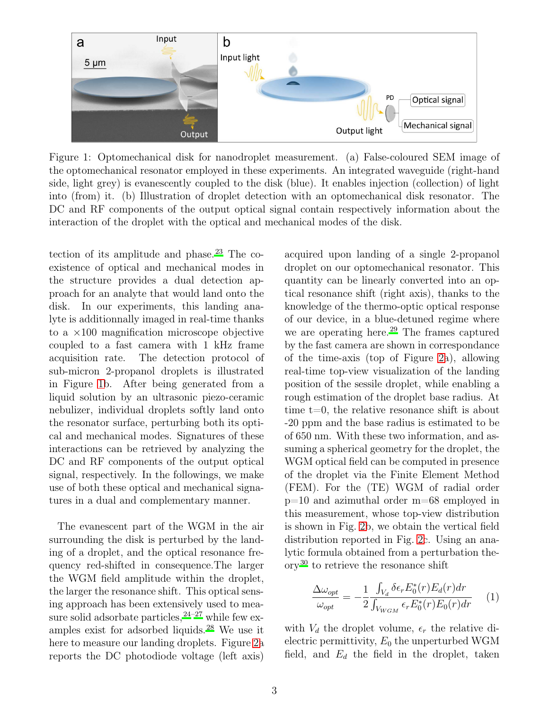<span id="page-2-0"></span>

Figure 1: Optomechanical disk for nanodroplet measurement. (a) False-coloured SEM image of the optomechanical resonator employed in these experiments. An integrated waveguide (right-hand side, light grey) is evanescently coupled to the disk (blue). It enables injection (collection) of light into (from) it. (b) Illustration of droplet detection with an optomechanical disk resonator. The DC and RF components of the output optical signal contain respectively information about the interaction of the droplet with the optical and mechanical modes of the disk.

tection of its amplitude and phase.<sup>[23](#page-9-6)</sup> The coexistence of optical and mechanical modes in the structure provides a dual detection approach for an analyte that would land onto the disk. In our experiments, this landing analyte is additionnally imaged in real-time thanks to a ×100 magnification microscope objective coupled to a fast camera with 1 kHz frame acquisition rate. The detection protocol of sub-micron 2-propanol droplets is illustrated in Figure [1b](#page-2-0). After being generated from a liquid solution by an ultrasonic piezo-ceramic nebulizer, individual droplets softly land onto the resonator surface, perturbing both its optical and mechanical modes. Signatures of these interactions can be retrieved by analyzing the DC and RF components of the output optical signal, respectively. In the followings, we make use of both these optical and mechanical signatures in a dual and complementary manner.

The evanescent part of the WGM in the air surrounding the disk is perturbed by the landing of a droplet, and the optical resonance frequency red-shifted in consequence.The larger the WGM field amplitude within the droplet, the larger the resonance shift. This optical sensing approach has been extensively used to measure solid adsorbate particles,  $24-27$  $24-27$  while few examples exist for adsorbed liquids.[28](#page-9-9) We use it here to measure our landing droplets. Figure [2a](#page-3-0) reports the DC photodiode voltage (left axis)

acquired upon landing of a single 2-propanol droplet on our optomechanical resonator. This quantity can be linearly converted into an optical resonance shift (right axis), thanks to the knowledge of the thermo-optic optical response of our device, in a blue-detuned regime where we are operating here.<sup>[29](#page-9-10)</sup> The frames captured by the fast camera are shown in correspondance of the time-axis (top of Figure [2a](#page-3-0)), allowing real-time top-view visualization of the landing position of the sessile droplet, while enabling a rough estimation of the droplet base radius. At time t=0, the relative resonance shift is about -20 ppm and the base radius is estimated to be of 650 nm. With these two information, and assuming a spherical geometry for the droplet, the WGM optical field can be computed in presence of the droplet via the Finite Element Method (FEM). For the (TE) WGM of radial order p=10 and azimuthal order m=68 employed in this measurement, whose top-view distribution is shown in Fig. [2b](#page-3-0), we obtain the vertical field distribution reported in Fig. [2c](#page-3-0). Using an analytic formula obtained from a perturbation the- $\alpha$  ory<sup>[30](#page-9-11)</sup> to retrieve the resonance shift

$$
\frac{\Delta\omega_{opt}}{\omega_{opt}} = -\frac{1}{2} \frac{\int_{V_d} \delta \epsilon_r E_0^*(r) E_d(r) dr}{\int_{V_{WGM}} \epsilon_r E_0^*(r) E_0(r) dr} \tag{1}
$$

with  $V_d$  the droplet volume,  $\epsilon_r$  the relative dielectric permittivity,  $E_0$  the unperturbed WGM field, and  $E_d$  the field in the droplet, taken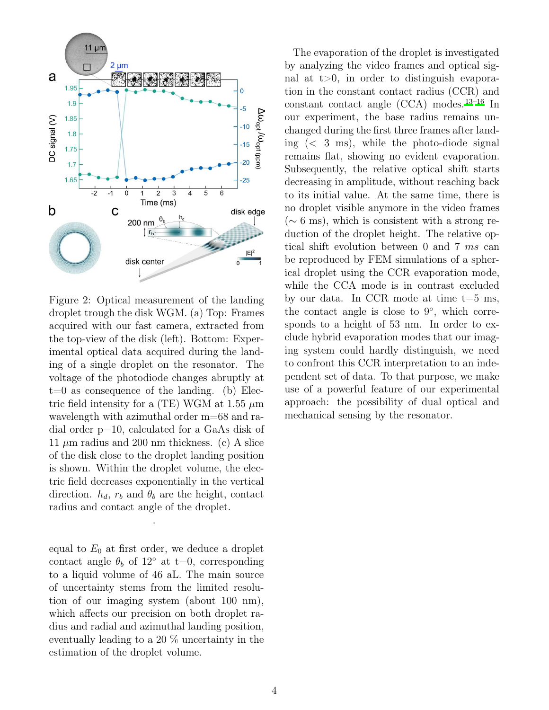<span id="page-3-0"></span>

Figure 2: Optical measurement of the landing droplet trough the disk WGM. (a) Top: Frames acquired with our fast camera, extracted from the top-view of the disk (left). Bottom: Experimental optical data acquired during the landing of a single droplet on the resonator. The voltage of the photodiode changes abruptly at  $t=0$  as consequence of the landing. (b) Electric field intensity for a (TE) WGM at 1.55  $\mu$ m wavelength with azimuthal order m=68 and radial order p=10, calculated for a GaAs disk of 11  $\mu$ m radius and 200 nm thickness. (c) A slice of the disk close to the droplet landing position is shown. Within the droplet volume, the electric field decreases exponentially in the vertical direction.  $h_d$ ,  $r_b$  and  $\theta_b$  are the height, contact radius and contact angle of the droplet.

equal to  $E_0$  at first order, we deduce a droplet contact angle  $\theta_b$  of 12<sup>°</sup> at t=0, corresponding to a liquid volume of 46 aL. The main source of uncertainty stems from the limited resolution of our imaging system (about 100 nm), which affects our precision on both droplet radius and radial and azimuthal landing position, eventually leading to a 20 % uncertainty in the estimation of the droplet volume.

.

constant contact angle  $(CCA)$  modes.<sup>[13](#page-8-11)[–16](#page-9-0)</sup> In The evaporation of the droplet is investigated by analyzing the video frames and optical signal at  $t>0$ , in order to distinguish evaporation in the constant contact radius (CCR) and our experiment, the base radius remains unchanged during the first three frames after landing (< 3 ms), while the photo-diode signal remains flat, showing no evident evaporation. Subsequently, the relative optical shift starts decreasing in amplitude, without reaching back to its initial value. At the same time, there is no droplet visible anymore in the video frames (∼ 6 ms), which is consistent with a strong reduction of the droplet height. The relative optical shift evolution between 0 and 7 ms can be reproduced by FEM simulations of a spherical droplet using the CCR evaporation mode, while the CCA mode is in contrast excluded by our data. In CCR mode at time  $t=5$  ms, the contact angle is close to  $9^\circ$ , which corresponds to a height of 53 nm. In order to exclude hybrid evaporation modes that our imaging system could hardly distinguish, we need to confront this CCR interpretation to an independent set of data. To that purpose, we make use of a powerful feature of our experimental approach: the possibility of dual optical and mechanical sensing by the resonator.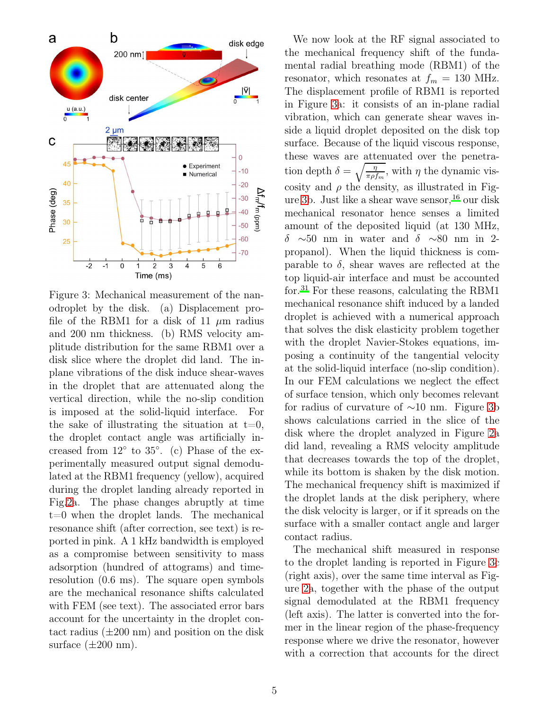<span id="page-4-0"></span>

Figure 3: Mechanical measurement of the nanodroplet by the disk. (a) Displacement profile of the RBM1 for a disk of 11  $\mu$ m radius and 200 nm thickness. (b) RMS velocity amplitude distribution for the same RBM1 over a disk slice where the droplet did land. The inplane vibrations of the disk induce shear-waves in the droplet that are attenuated along the vertical direction, while the no-slip condition is imposed at the solid-liquid interface. For the sake of illustrating the situation at  $t=0$ , the droplet contact angle was artificially increased from  $12°$  to  $35°$ . (c) Phase of the experimentally measured output signal demodulated at the RBM1 frequency (yellow), acquired during the droplet landing already reported in Fig[.2a](#page-3-0). The phase changes abruptly at time t=0 when the droplet lands. The mechanical resonance shift (after correction, see text) is reported in pink. A 1 kHz bandwidth is employed as a compromise between sensitivity to mass adsorption (hundred of attograms) and timeresolution (0.6 ms). The square open symbols are the mechanical resonance shifts calculated with FEM (see text). The associated error bars account for the uncertainty in the droplet contact radius  $(\pm 200 \text{ nm})$  and position on the disk surface  $(\pm 200 \text{ nm})$ .

cosity and  $\rho$  the density, as illustrated in Fig-We now look at the RF signal associated to the mechanical frequency shift of the fundamental radial breathing mode (RBM1) of the resonator, which resonates at  $f_m = 130$  MHz. The displacement profile of RBM1 is reported in Figure [3a](#page-4-0): it consists of an in-plane radial vibration, which can generate shear waves inside a liquid droplet deposited on the disk top surface. Because of the liquid viscous response, these waves are attenuated over the penetration depth  $\delta = \sqrt{\frac{\eta}{\pi \rho f_m}}$ , with  $\eta$  the dynamic vis-ure [3b](#page-4-0). Just like a shear wave sensor,  $^{16}$  $^{16}$  $^{16}$  our disk mechanical resonator hence senses a limited amount of the deposited liquid (at 130 MHz, δ ∼50 nm in water and δ ∼80 nm in 2 propanol). When the liquid thickness is comparable to  $\delta$ , shear waves are reflected at the top liquid-air interface and must be accounted for.[31](#page-9-12) For these reasons, calculating the RBM1 mechanical resonance shift induced by a landed droplet is achieved with a numerical approach that solves the disk elasticity problem together with the droplet Navier-Stokes equations, imposing a continuity of the tangential velocity at the solid-liquid interface (no-slip condition). In our FEM calculations we neglect the effect of surface tension, which only becomes relevant for radius of curvature of ∼10 nm. Figure [3b](#page-4-0) shows calculations carried in the slice of the disk where the droplet analyzed in Figure [2a](#page-3-0) did land, revealing a RMS velocity amplitude that decreases towards the top of the droplet, while its bottom is shaken by the disk motion. The mechanical frequency shift is maximized if the droplet lands at the disk periphery, where the disk velocity is larger, or if it spreads on the surface with a smaller contact angle and larger contact radius. The mechanical shift measured in response

to the droplet landing is reported in Figure [3c](#page-4-0) (right axis), over the same time interval as Figure [2a](#page-3-0), together with the phase of the output signal demodulated at the RBM1 frequency (left axis). The latter is converted into the former in the linear region of the phase-frequency response where we drive the resonator, however with a correction that accounts for the direct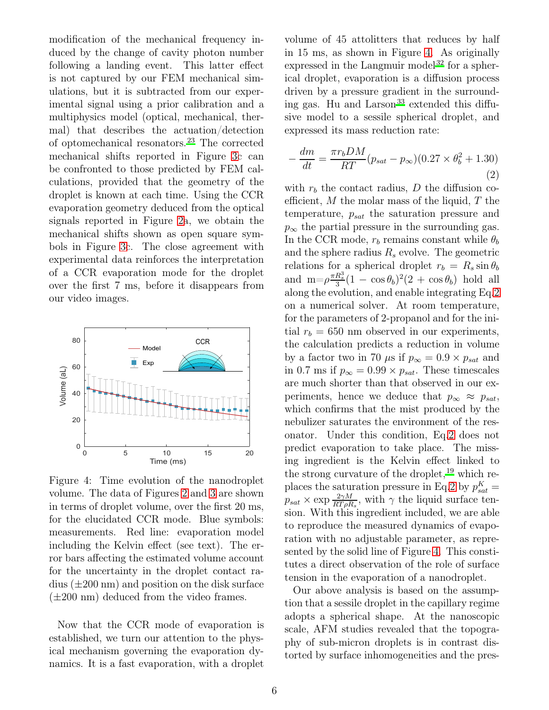modification of the mechanical frequency induced by the change of cavity photon number following a landing event. This latter effect is not captured by our FEM mechanical simulations, but it is subtracted from our experimental signal using a prior calibration and a multiphysics model (optical, mechanical, thermal) that describes the actuation/detection of optomechanical resonators.[23](#page-9-6) The corrected mechanical shifts reported in Figure [3c](#page-4-0) can be confronted to those predicted by FEM calculations, provided that the geometry of the droplet is known at each time. Using the CCR evaporation geometry deduced from the optical signals reported in Figure [2a](#page-3-0), we obtain the mechanical shifts shown as open square symbols in Figure [3c](#page-4-0). The close agreement with experimental data reinforces the interpretation of a CCR evaporation mode for the droplet over the first 7 ms, before it disappears from our video images.

<span id="page-5-0"></span>![](_page_5_Figure_1.jpeg)

Figure 4: Time evolution of the nanodroplet volume. The data of Figures [2](#page-3-0) and [3](#page-4-0) are shown in terms of droplet volume, over the first 20 ms, for the elucidated CCR mode. Blue symbols: measurements. Red line: evaporation model including the Kelvin effect (see text). The error bars affecting the estimated volume account for the uncertainty in the droplet contact radius  $(\pm 200 \text{ nm})$  and position on the disk surface  $(\pm 200 \text{ nm})$  deduced from the video frames.

Now that the CCR mode of evaporation is established, we turn our attention to the physical mechanism governing the evaporation dynamics. It is a fast evaporation, with a droplet

volume of 45 attolitters that reduces by half in 15 ms, as shown in Figure [4.](#page-5-0) As originally expressed in the Langmuir model<sup>[32](#page-9-13)</sup> for a spherical droplet, evaporation is a diffusion process driven by a pressure gradient in the surrounding gas. Hu and  $\rm {Larson}^{33}$  $\rm {Larson}^{33}$  $\rm {Larson}^{33}$  extended this diffusive model to a sessile spherical droplet, and expressed its mass reduction rate:

<span id="page-5-1"></span>
$$
-\frac{dm}{dt} = \frac{\pi r_b DM}{RT} (p_{sat} - p_{\infty})(0.27 \times \theta_b^2 + 1.30)
$$
\n(2)

with  $r<sub>b</sub>$  the contact radius, D the diffusion coefficient,  $M$  the molar mass of the liquid,  $T$  the temperature,  $p_{sat}$  the saturation pressure and  $p_{\infty}$  the partial pressure in the surrounding gas. In the CCR mode,  $r_b$  remains constant while  $\theta_b$ and the sphere radius  $R_s$  evolve. The geometric relations for a spherical droplet  $r_b = R_s \sin \theta_b$ and  $m=\rho \frac{\pi R_s^3}{3}(1-\cos\theta_b)^2(2+\cos\theta_b)$  hold all along the evolution, and enable integrating Eq[.2](#page-5-1) on a numerical solver. At room temperature, for the parameters of 2-propanol and for the initial  $r_b = 650$  nm observed in our experiments, the calculation predicts a reduction in volume by a factor two in 70  $\mu$ s if  $p_{\infty} = 0.9 \times p_{sat}$  and in 0.7 ms if  $p_{\infty} = 0.99 \times p_{sat}$ . These timescales are much shorter than that observed in our experiments, hence we deduce that  $p_{\infty} \approx p_{sat}$ , which confirms that the mist produced by the nebulizer saturates the environment of the resonator. Under this condition, Eq[.2](#page-5-1) does not predict evaporation to take place. The missing ingredient is the Kelvin effect linked to the strong curvature of the droplet,  $^{19}$  $^{19}$  $^{19}$  which re-places the saturation pressure in Eq[.2](#page-5-1) by  $p_{sat}^K =$  $p_{sat} \times \exp \frac{2\gamma M}{RT \rho R_s}$ , with  $\gamma$  the liquid surface tension. With this ingredient included, we are able to reproduce the measured dynamics of evaporation with no adjustable parameter, as represented by the solid line of Figure [4.](#page-5-0) This constitutes a direct observation of the role of surface tension in the evaporation of a nanodroplet.

Our above analysis is based on the assumption that a sessile droplet in the capillary regime adopts a spherical shape. At the nanoscopic scale, AFM studies revealed that the topography of sub-micron droplets is in contrast distorted by surface inhomogeneities and the pres-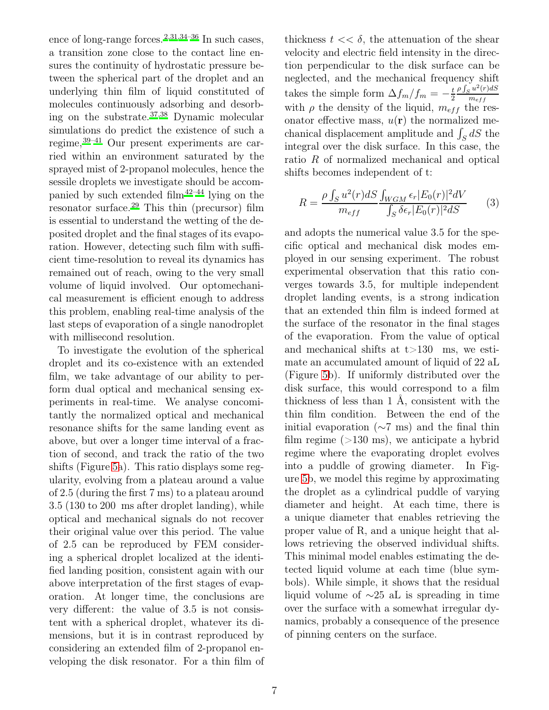ence of long-range forces.<sup>[2](#page-8-1)[,31](#page-9-12)[,34](#page-9-15)[–36](#page-10-0)</sup> In such cases, a transition zone close to the contact line ensures the continuity of hydrostatic pressure between the spherical part of the droplet and an underlying thin film of liquid constituted of molecules continuously adsorbing and desorbing on the substrate.[37](#page-10-1)[,38](#page-10-2) Dynamic molecular simulations do predict the existence of such a regime,[39](#page-10-3)[–41](#page-10-4) Our present experiments are carried within an environment saturated by the sprayed mist of 2-propanol molecules, hence the sessile droplets we investigate should be accompanied by such extended film $42-44$  $42-44$  lying on the resonator surface.<sup>[29](#page-9-10)</sup> This thin (precursor) film is essential to understand the wetting of the deposited droplet and the final stages of its evaporation. However, detecting such film with sufficient time-resolution to reveal its dynamics has remained out of reach, owing to the very small volume of liquid involved. Our optomechanical measurement is efficient enough to address this problem, enabling real-time analysis of the last steps of evaporation of a single nanodroplet with millisecond resolution.

To investigate the evolution of the spherical droplet and its co-existence with an extended film, we take advantage of our ability to perform dual optical and mechanical sensing experiments in real-time. We analyse concomitantly the normalized optical and mechanical resonance shifts for the same landing event as above, but over a longer time interval of a fraction of second, and track the ratio of the two shifts (Figure [5a](#page-7-0)). This ratio displays some regularity, evolving from a plateau around a value of 2.5 (during the first 7 ms) to a plateau around 3.5 (130 to 200 ms after droplet landing), while optical and mechanical signals do not recover their original value over this period. The value of 2.5 can be reproduced by FEM considering a spherical droplet localized at the identified landing position, consistent again with our above interpretation of the first stages of evaporation. At longer time, the conclusions are very different: the value of 3.5 is not consistent with a spherical droplet, whatever its dimensions, but it is in contrast reproduced by considering an extended film of 2-propanol enveloping the disk resonator. For a thin film of

thickness  $t \ll \delta$ , the attenuation of the shear velocity and electric field intensity in the direction perpendicular to the disk surface can be neglected, and the mechanical frequency shift takes the simple form  $\Delta f_m/f_m = -\frac{t}{2}$ 2  $\rho \int_S u^2(r) dS$  $m_{eff}$ with  $\rho$  the density of the liquid,  $m_{eff}$  the resonator effective mass,  $u(\mathbf{r})$  the normalized mechanical displacement amplitude and  $\int_S dS$  the integral over the disk surface. In this case, the ratio R of normalized mechanical and optical shifts becomes independent of t:

$$
R = \frac{\rho \int_{S} u^{2}(r) dS}{m_{eff}} \frac{\int_{WGM} \epsilon_{r} |E_{0}(r)|^{2} dV}{\int_{S} \delta \epsilon_{r} |E_{0}(r)|^{2} dS}
$$
(3)

and adopts the numerical value 3.5 for the specific optical and mechanical disk modes employed in our sensing experiment. The robust experimental observation that this ratio converges towards 3.5, for multiple independent droplet landing events, is a strong indication that an extended thin film is indeed formed at the surface of the resonator in the final stages of the evaporation. From the value of optical and mechanical shifts at  $t > 130$  ms, we estimate an accumulated amount of liquid of 22 aL (Figure [5b](#page-7-0)). If uniformly distributed over the disk surface, this would correspond to a film thickness of less than 1 Å, consistent with the thin film condition. Between the end of the initial evaporation (∼7 ms) and the final thin film regime  $(>130 \text{ ms})$ , we anticipate a hybrid regime where the evaporating droplet evolves into a puddle of growing diameter. In Figure [5b](#page-7-0), we model this regime by approximating the droplet as a cylindrical puddle of varying diameter and height. At each time, there is a unique diameter that enables retrieving the proper value of R, and a unique height that allows retrieving the observed individual shifts. This minimal model enables estimating the detected liquid volume at each time (blue symbols). While simple, it shows that the residual liquid volume of ∼25 aL is spreading in time over the surface with a somewhat irregular dynamics, probably a consequence of the presence of pinning centers on the surface.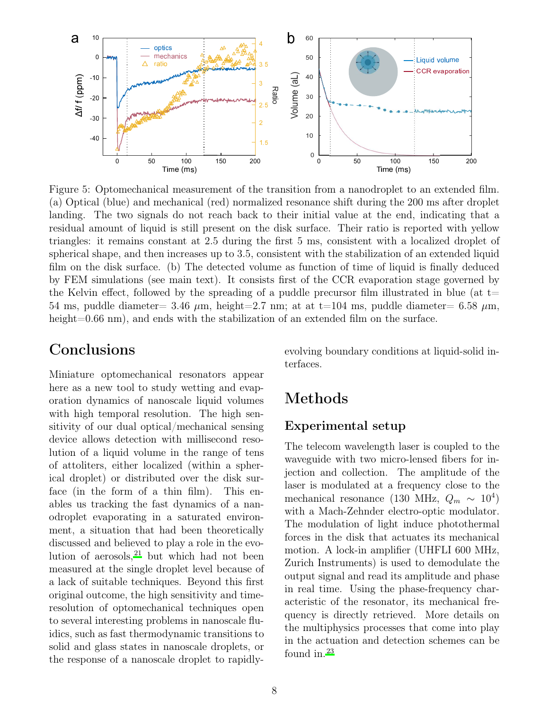<span id="page-7-0"></span>![](_page_7_Figure_0.jpeg)

Figure 5: Optomechanical measurement of the transition from a nanodroplet to an extended film. (a) Optical (blue) and mechanical (red) normalized resonance shift during the 200 ms after droplet landing. The two signals do not reach back to their initial value at the end, indicating that a residual amount of liquid is still present on the disk surface. Their ratio is reported with yellow triangles: it remains constant at 2.5 during the first 5 ms, consistent with a localized droplet of spherical shape, and then increases up to 3.5, consistent with the stabilization of an extended liquid film on the disk surface. (b) The detected volume as function of time of liquid is finally deduced by FEM simulations (see main text). It consists first of the CCR evaporation stage governed by the Kelvin effect, followed by the spreading of a puddle precursor film illustrated in blue (at  $t=$ 54 ms, puddle diameter= 3.46  $\mu$ m, height=2.7 nm; at at t=104 ms, puddle diameter= 6.58  $\mu$ m, height=0.66 nm), and ends with the stabilization of an extended film on the surface.

### Conclusions

Miniature optomechanical resonators appear here as a new tool to study wetting and evaporation dynamics of nanoscale liquid volumes with high temporal resolution. The high sensitivity of our dual optical/mechanical sensing device allows detection with millisecond resolution of a liquid volume in the range of tens of attoliters, either localized (within a spherical droplet) or distributed over the disk surface (in the form of a thin film). This enables us tracking the fast dynamics of a nanodroplet evaporating in a saturated environment, a situation that had been theoretically discussed and believed to play a role in the evolution of aerosols,  $2^1$  but which had not been measured at the single droplet level because of a lack of suitable techniques. Beyond this first original outcome, the high sensitivity and timeresolution of optomechanical techniques open to several interesting problems in nanoscale fluidics, such as fast thermodynamic transitions to solid and glass states in nanoscale droplets, or the response of a nanoscale droplet to rapidlyevolving boundary conditions at liquid-solid interfaces.

# Methods

#### Experimental setup

The telecom wavelength laser is coupled to the waveguide with two micro-lensed fibers for injection and collection. The amplitude of the laser is modulated at a frequency close to the mechanical resonance (130 MHz,  $Q_m \sim 10^4$ ) with a Mach-Zehnder electro-optic modulator. The modulation of light induce photothermal forces in the disk that actuates its mechanical motion. A lock-in amplifier (UHFLI 600 MHz, Zurich Instruments) is used to demodulate the output signal and read its amplitude and phase in real time. Using the phase-frequency characteristic of the resonator, its mechanical frequency is directly retrieved. More details on the multiphysics processes that come into play in the actuation and detection schemes can be found in. $^{23}$  $^{23}$  $^{23}$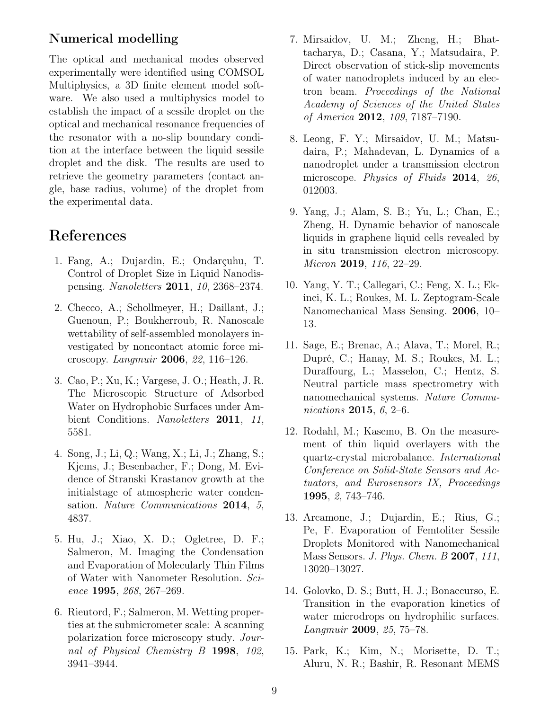### Numerical modelling

The optical and mechanical modes observed experimentally were identified using COMSOL Multiphysics, a 3D finite element model software. We also used a multiphysics model to establish the impact of a sessile droplet on the optical and mechanical resonance frequencies of the resonator with a no-slip boundary condition at the interface between the liquid sessile droplet and the disk. The results are used to retrieve the geometry parameters (contact angle, base radius, volume) of the droplet from the experimental data.

# References

- <span id="page-8-0"></span>1. Fang, A.; Dujardin, E.; Ondarçuhu, T. Control of Droplet Size in Liquid Nanodispensing. Nanoletters 2011, 10, 2368–2374.
- <span id="page-8-1"></span>2. Checco, A.; Schollmeyer, H.; Daillant, J.; Guenoun, P.; Boukherroub, R. Nanoscale wettability of self-assembled monolayers investigated by noncontact atomic force microscopy. Langmuir 2006, 22, 116–126.
- <span id="page-8-2"></span>3. Cao, P.; Xu, K.; Vargese, J. O.; Heath, J. R. The Microscopic Structure of Adsorbed Water on Hydrophobic Surfaces under Ambient Conditions. Nanoletters 2011, 11, 5581.
- <span id="page-8-3"></span>4. Song, J.; Li, Q.; Wang, X.; Li, J.; Zhang, S.; Kjems, J.; Besenbacher, F.; Dong, M. Evidence of Stranski Krastanov growth at the initialstage of atmospheric water condensation. Nature Communications 2014, 5, 4837.
- <span id="page-8-4"></span>5. Hu, J.; Xiao, X. D.; Ogletree, D. F.; Salmeron, M. Imaging the Condensation and Evaporation of Molecularly Thin Films of Water with Nanometer Resolution. Science 1995, 268, 267–269.
- <span id="page-8-5"></span>6. Rieutord, F.; Salmeron, M. Wetting properties at the submicrometer scale: A scanning polarization force microscopy study. Journal of Physical Chemistry B 1998, 102, 3941–3944.
- <span id="page-8-6"></span>7. Mirsaidov, U. M.; Zheng, H.; Bhattacharya, D.; Casana, Y.; Matsudaira, P. Direct observation of stick-slip movements of water nanodroplets induced by an electron beam. Proceedings of the National Academy of Sciences of the United States of America 2012, 109, 7187–7190.
- 8. Leong, F. Y.; Mirsaidov, U. M.; Matsudaira, P.; Mahadevan, L. Dynamics of a nanodroplet under a transmission electron microscope. Physics of Fluids 2014, 26, 012003.
- <span id="page-8-7"></span>9. Yang, J.; Alam, S. B.; Yu, L.; Chan, E.; Zheng, H. Dynamic behavior of nanoscale liquids in graphene liquid cells revealed by in situ transmission electron microscopy. Micron 2019, 116, 22–29.
- <span id="page-8-8"></span>10. Yang, Y. T.; Callegari, C.; Feng, X. L.; Ekinci, K. L.; Roukes, M. L. Zeptogram-Scale Nanomechanical Mass Sensing. 2006, 10– 13.
- <span id="page-8-9"></span>11. Sage, E.; Brenac, A.; Alava, T.; Morel, R.; Dupré, C.; Hanay, M. S.; Roukes, M. L.; Duraffourg, L.; Masselon, C.; Hentz, S. Neutral particle mass spectrometry with nanomechanical systems. Nature Communications 2015, 6, 2–6.
- <span id="page-8-10"></span>12. Rodahl, M.; Kasemo, B. On the measurement of thin liquid overlayers with the quartz-crystal microbalance. International Conference on Solid-State Sensors and Actuators, and Eurosensors IX, Proceedings 1995, 2, 743–746.
- <span id="page-8-11"></span>13. Arcamone, J.; Dujardin, E.; Rius, G.; Pe, F. Evaporation of Femtoliter Sessile Droplets Monitored with Nanomechanical Mass Sensors. J. Phys. Chem. B 2007, 111, 13020–13027.
- 14. Golovko, D. S.; Butt, H. J.; Bonaccurso, E. Transition in the evaporation kinetics of water microdrops on hydrophilic surfaces. Langmuir 2009, 25, 75–78.
- 15. Park, K.; Kim, N.; Morisette, D. T.; Aluru, N. R.; Bashir, R. Resonant MEMS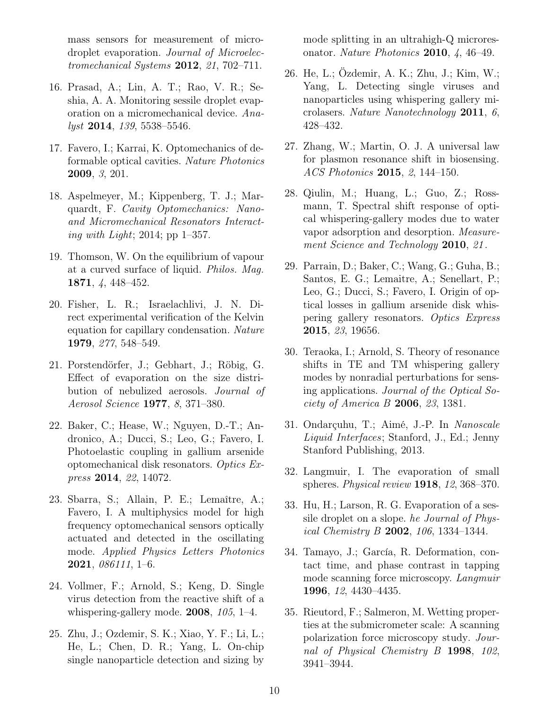mass sensors for measurement of microdroplet evaporation. Journal of Microelectromechanical Systems 2012, 21, 702–711.

- <span id="page-9-0"></span>16. Prasad, A.; Lin, A. T.; Rao, V. R.; Seshia, A. A. Monitoring sessile droplet evaporation on a micromechanical device. Analyst 2014, 139, 5538–5546.
- <span id="page-9-1"></span>17. Favero, I.; Karrai, K. Optomechanics of deformable optical cavities. Nature Photonics 2009, 3, 201.
- <span id="page-9-2"></span>18. Aspelmeyer, M.; Kippenberg, T. J.; Marquardt, F. Cavity Optomechanics: Nanoand Micromechanical Resonators Interacting with Light; 2014; pp 1–357.
- <span id="page-9-3"></span>19. Thomson, W. On the equilibrium of vapour at a curved surface of liquid. Philos. Mag. 1871, 4, 448–452.
- 20. Fisher, L. R.; Israelachlivi, J. N. Direct experimental verification of the Kelvin equation for capillary condensation. Nature 1979, 277, 548–549.
- <span id="page-9-4"></span>21. Porstendörfer, J.; Gebhart, J.; Röbig, G. Effect of evaporation on the size distribution of nebulized aerosols. Journal of Aerosol Science 1977, 8, 371–380.
- <span id="page-9-5"></span>22. Baker, C.; Hease, W.; Nguyen, D.-T.; Andronico, A.; Ducci, S.; Leo, G.; Favero, I. Photoelastic coupling in gallium arsenide optomechanical disk resonators. Optics Express 2014, 22, 14072.
- <span id="page-9-6"></span>23. Sbarra, S.; Allain, P. E.; Lemaître, A.; Favero, I. A multiphysics model for high frequency optomechanical sensors optically actuated and detected in the oscillating mode. Applied Physics Letters Photonics 2021, 086111, 1–6.
- <span id="page-9-7"></span>24. Vollmer, F.; Arnold, S.; Keng, D. Single virus detection from the reactive shift of a whispering-gallery mode. 2008, 105, 1–4.
- 25. Zhu, J.; Ozdemir, S. K.; Xiao, Y. F.; Li, L.; He, L.; Chen, D. R.; Yang, L. On-chip single nanoparticle detection and sizing by

mode splitting in an ultrahigh-Q microresonator. Nature Photonics 2010,  $\lambda$ , 46–49.

- 26. He, L.; Özdemir, A. K.; Zhu, J.; Kim, W.; Yang, L. Detecting single viruses and nanoparticles using whispering gallery microlasers. Nature Nanotechnology 2011, 6, 428–432.
- <span id="page-9-8"></span>27. Zhang, W.; Martin, O. J. A universal law for plasmon resonance shift in biosensing. ACS Photonics 2015, 2, 144–150.
- <span id="page-9-9"></span>28. Qiulin, M.; Huang, L.; Guo, Z.; Rossmann, T. Spectral shift response of optical whispering-gallery modes due to water vapor adsorption and desorption. Measurement Science and Technology 2010, 21.
- <span id="page-9-10"></span>29. Parrain, D.; Baker, C.; Wang, G.; Guha, B.; Santos, E. G.; Lemaitre, A.; Senellart, P.; Leo, G.; Ducci, S.; Favero, I. Origin of optical losses in gallium arsenide disk whispering gallery resonators. Optics Express 2015, 23, 19656.
- <span id="page-9-11"></span>30. Teraoka, I.; Arnold, S. Theory of resonance shifts in TE and TM whispering gallery modes by nonradial perturbations for sensing applications. Journal of the Optical Society of America B 2006, 23, 1381.
- <span id="page-9-12"></span>31. Ondarçuhu, T.; Aimé, J.-P. In Nanoscale Liquid Interfaces; Stanford, J., Ed.; Jenny Stanford Publishing, 2013.
- <span id="page-9-13"></span>32. Langmuir, I. The evaporation of small spheres. Physical review  $1918$ , 12, 368-370.
- <span id="page-9-14"></span>33. Hu, H.; Larson, R. G. Evaporation of a sessile droplet on a slope. he Journal of Physical Chemistry B 2002,  $106$ , 1334-1344.
- <span id="page-9-15"></span>34. Tamayo, J.; García, R. Deformation, contact time, and phase contrast in tapping mode scanning force microscopy. Langmuir 1996, 12, 4430–4435.
- 35. Rieutord, F.; Salmeron, M. Wetting properties at the submicrometer scale: A scanning polarization force microscopy study. Journal of Physical Chemistry B 1998, 102, 3941–3944.